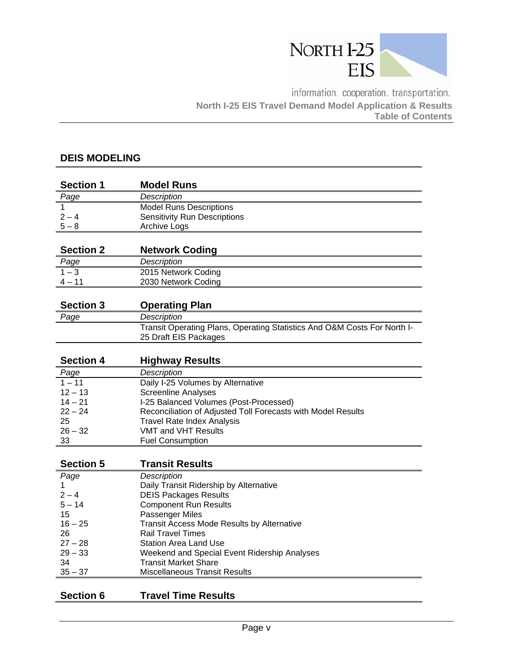

information. cooperation. transportation. **North I-25 EIS Travel Demand Model Application & Results Table of Contents** 

## **DEIS MODELING**

| <b>Section 1</b> | <b>Model Runs</b>                   |
|------------------|-------------------------------------|
| Page             | Description                         |
|                  | <b>Model Runs Descriptions</b>      |
| $2 - 4$          | <b>Sensitivity Run Descriptions</b> |
| $5 - 8$          | Archive Logs                        |
|                  |                                     |
| Soction 2        | Notwork Codina                      |

| <b>Section Z</b> | <b>NETWOLK COULDY</b> |
|------------------|-----------------------|
| <u>Page</u>      | Description           |
| $1 - 3$          | 2015 Network Coding   |
| $\Delta$ $-$ 1   | 2030 Network Coding   |

| <b>Section 3</b> | <b>Operating Plan</b>                                                                             |
|------------------|---------------------------------------------------------------------------------------------------|
| Page             | Description                                                                                       |
|                  | Transit Operating Plans, Operating Statistics And O&M Costs For North I-<br>25 Draft EIS Packages |

| <b>Section 4</b> | <b>Highway Results</b>                                       |
|------------------|--------------------------------------------------------------|
| Page             | Description                                                  |
| $1 - 11$         | Daily I-25 Volumes by Alternative                            |
| $12 - 13$        | <b>Screenline Analyses</b>                                   |
| $14 - 21$        | I-25 Balanced Volumes (Post-Processed)                       |
| $22 - 24$        | Reconciliation of Adjusted Toll Forecasts with Model Results |
| 25               | <b>Travel Rate Index Analysis</b>                            |
| $26 - 32$        | VMT and VHT Results                                          |
| 33               | <b>Fuel Consumption</b>                                      |

| <b>Section 5</b> | <b>Transit Results</b>                       |
|------------------|----------------------------------------------|
| Page             | <b>Description</b>                           |
|                  | Daily Transit Ridership by Alternative       |
| $2 - 4$          | <b>DEIS Packages Results</b>                 |
| $5 - 14$         | <b>Component Run Results</b>                 |
| 15               | Passenger Miles                              |
| $16 - 25$        | Transit Access Mode Results by Alternative   |
| 26               | <b>Rail Travel Times</b>                     |
| $27 - 28$        | <b>Station Area Land Use</b>                 |
| $29 - 33$        | Weekend and Special Event Ridership Analyses |
| -34              | <b>Transit Market Share</b>                  |
| $35 - 37$        | <b>Miscellaneous Transit Results</b>         |
|                  |                                              |